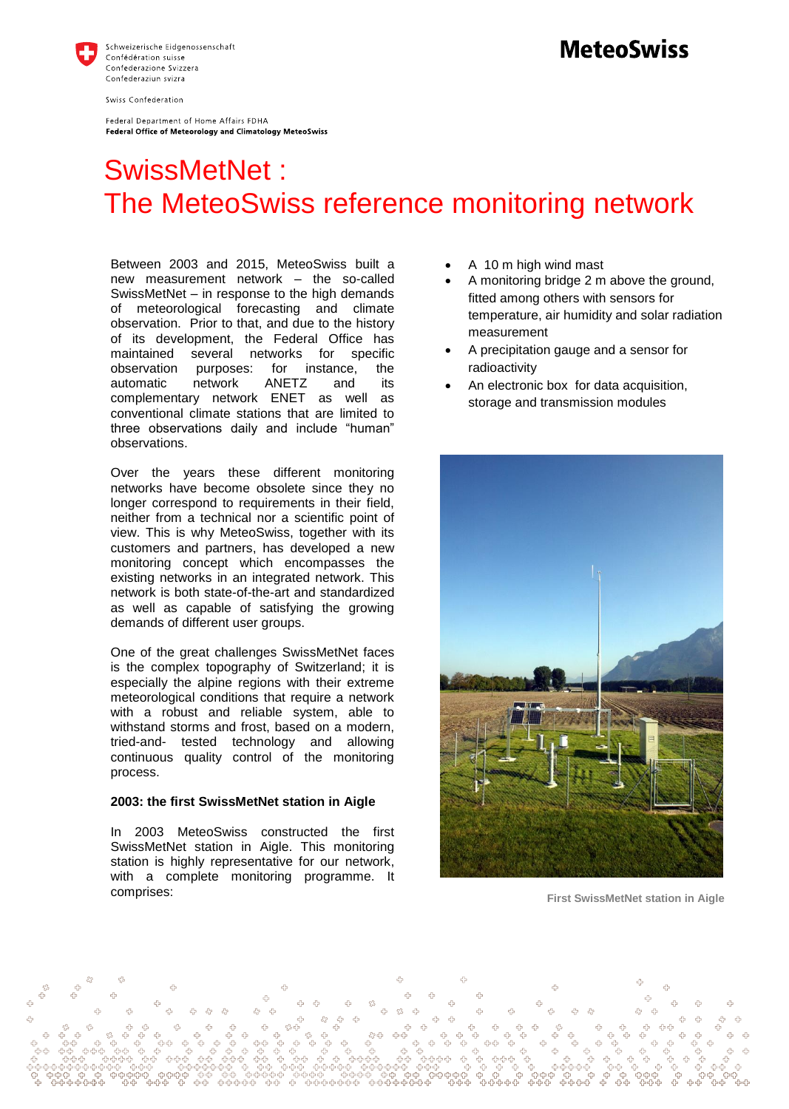

Swiss Confederation

Federal Department of Home Affairs FDHA Federal Office of Meteorology and Climatology MeteoSwiss

## **MeteoSwiss**

# SwissMetNet: The MeteoSwiss reference monitoring network

Between 2003 and 2015, MeteoSwiss built a new measurement network – the so-called SwissMetNet – in response to the high demands of meteorological forecasting and climate observation. Prior to that, and due to the history of its development, the Federal Office has maintained several networks for specific observation purposes: for instance, the automatic network ANETZ and its complementary network ENET as well as conventional climate stations that are limited to three observations daily and include "human" observations.

Over the years these different monitoring networks have become obsolete since they no longer correspond to requirements in their field, neither from a technical nor a scientific point of view. This is why MeteoSwiss, together with its customers and partners, has developed a new monitoring concept which encompasses the existing networks in an integrated network. This network is both state-of-the-art and standardized as well as capable of satisfying the growing demands of different user groups.

One of the great challenges SwissMetNet faces is the complex topography of Switzerland; it is especially the alpine regions with their extreme meteorological conditions that require a network with a robust and reliable system, able to withstand storms and frost, based on a modern, tried-and- tested technology and allowing continuous quality control of the monitoring process.

#### **2003: the first SwissMetNet station in Aigle**

In 2003 MeteoSwiss constructed the first SwissMetNet station in Aigle. This monitoring station is highly representative for our network, with a complete monitoring programme. It comprises:

- A 10 m high wind mast
- A monitoring bridge 2 m above the ground, fitted among others with sensors for temperature, air humidity and solar radiation measurement
- A precipitation gauge and a sensor for radioactivity
- An electronic box for data acquisition, storage and transmission modules



**First SwissMetNet station in Aigle**